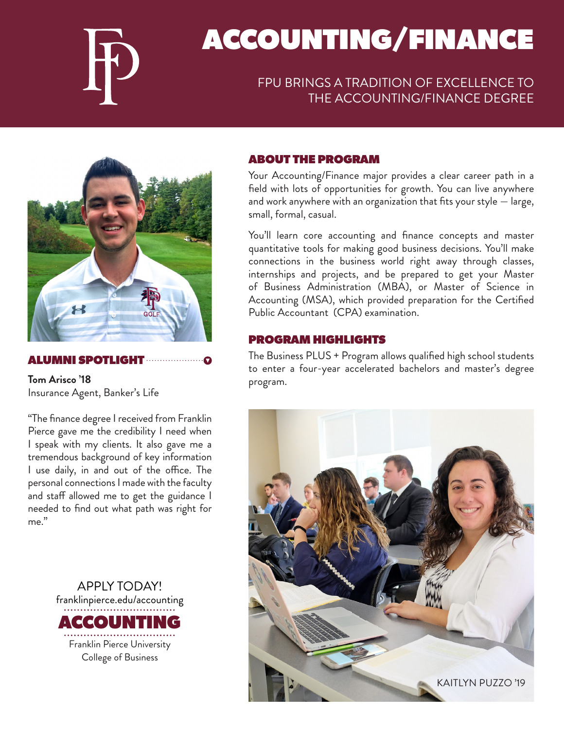

# ACCOUNTING/FINANCE

# FPU BRINGS A TRADITION OF EXCELLENCE TO THE ACCOUNTING/FINANCE DEGREE



# ALUMNI SPOTLIGHT

**Tom Arisco '18** Insurance Agent, Banker's Life

"The finance degree I received from Franklin Pierce gave me the credibility I need when I speak with my clients. It also gave me a tremendous background of key information I use daily, in and out of the office. The personal connections I made with the faculty and staff allowed me to get the guidance I needed to find out what path was right for me."



### ABOUT THE PROGRAM

Your Accounting/Finance major provides a clear career path in a field with lots of opportunities for growth. You can live anywhere and work anywhere with an organization that fits your style — large, small, formal, casual.

You'll learn core accounting and finance concepts and master quantitative tools for making good business decisions. You'll make connections in the business world right away through classes, internships and projects, and be prepared to get your Master of Business Administration (MBA), or Master of Science in Accounting (MSA), which provided preparation for the Certified Public Accountant (CPA) examination.

### PROGRAM HIGHLIGHTS

The Business PLUS + Program allows qualified high school students to enter a four-year accelerated bachelors and master's degree program.